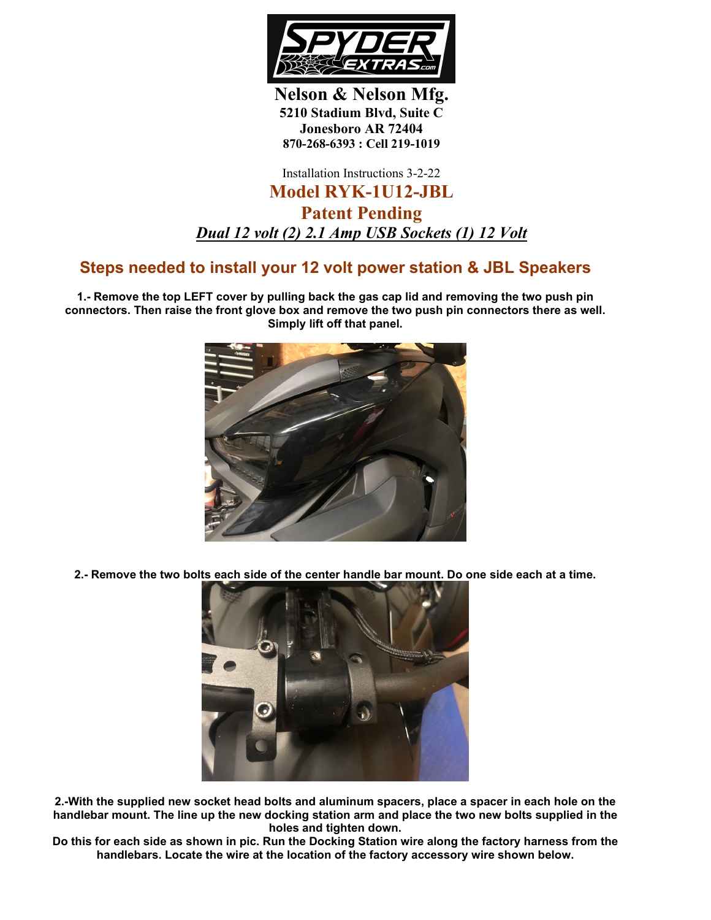

**Nelson & Nelson Mfg. 5210 Stadium Blvd, Suite C Jonesboro AR 72404 870-268-6393 : Cell 219-1019**

Installation Instructions 3-2-22

## **Model RYK-1U12-JBL Patent Pending** *Dual 12 volt (2) 2.1 Amp USB Sockets (1) 12 Volt*

## **Steps needed to install your 12 volt power station & JBL Speakers**

**1.- Remove the top LEFT cover by pulling back the gas cap lid and removing the two push pin connectors. Then raise the front glove box and remove the two push pin connectors there as well. Simply lift off that panel.**



**2.- Remove the two bolts each side of the center handle bar mount. Do one side each at a time.**



**2.-With the supplied new socket head bolts and aluminum spacers, place a spacer in each hole on the handlebar mount. The line up the new docking station arm and place the two new bolts supplied in the holes and tighten down.**

**Do this for each side as shown in pic. Run the Docking Station wire along the factory harness from the handlebars. Locate the wire at the location of the factory accessory wire shown below.**